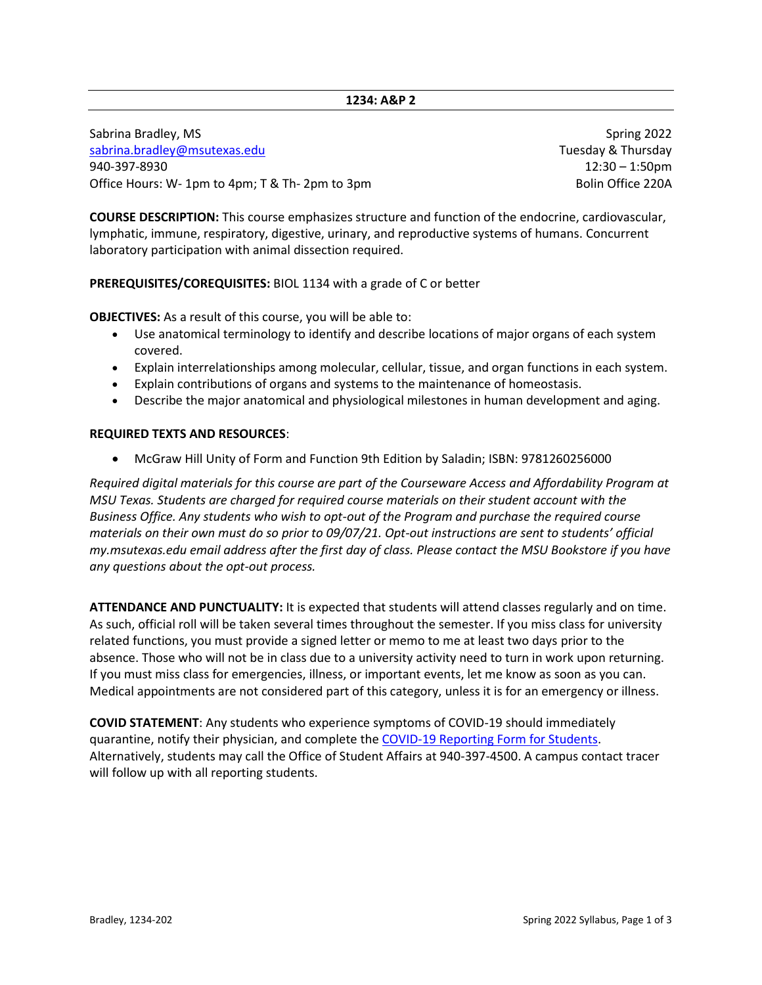## **1234: A&P 2**

Sabrina Bradley, MS Spring 2022 [sabrina.bradley@msutexas.edu](mailto:sabrina.bradley@msutexas.edu) Tuesday & Thursday & Thursday Bushina.bradley@msutexas.edu 940-397-8930 12:30 – 1:50pm Office Hours: W- 1pm to 4pm; T & Th- 2pm to 3pm Bolin Office 220A

**COURSE DESCRIPTION:** This course emphasizes structure and function of the endocrine, cardiovascular, lymphatic, immune, respiratory, digestive, urinary, and reproductive systems of humans. Concurrent laboratory participation with animal dissection required.

## **PREREQUISITES/COREQUISITES:** BIOL 1134 with a grade of C or better

**OBJECTIVES:** As a result of this course, you will be able to:

- Use anatomical terminology to identify and describe locations of major organs of each system covered.
- Explain interrelationships among molecular, cellular, tissue, and organ functions in each system.
- Explain contributions of organs and systems to the maintenance of homeostasis.
- Describe the major anatomical and physiological milestones in human development and aging.

## **REQUIRED TEXTS AND RESOURCES**:

• McGraw Hill Unity of Form and Function 9th Edition by Saladin; ISBN: 9781260256000

*Required digital materials for this course are part of the Courseware Access and Affordability Program at MSU Texas. Students are charged for required course materials on their student account with the Business Office. Any students who wish to opt-out of the Program and purchase the required course materials on their own must do so prior to 09/07/21. Opt-out instructions are sent to students' official my.msutexas.edu email address after the first day of class. Please contact the MSU Bookstore if you have any questions about the opt-out process.*

**ATTENDANCE AND PUNCTUALITY:** It is expected that students will attend classes regularly and on time. As such, official roll will be taken several times throughout the semester. If you miss class for university related functions, you must provide a signed letter or memo to me at least two days prior to the absence. Those who will not be in class due to a university activity need to turn in work upon returning. If you must miss class for emergencies, illness, or important events, let me know as soon as you can. Medical appointments are not considered part of this category, unless it is for an emergency or illness.

**COVID STATEMENT**: Any students who experience symptoms of COVID-19 should immediately quarantine, notify their physician, and complete the [COVID-19 Reporting Form for Students.](https://cm.maxient.com/reportingform.php?MSUTexas&layout_id=9) Alternatively, students may call the Office of Student Affairs at 940-397-4500. A campus contact tracer will follow up with all reporting students.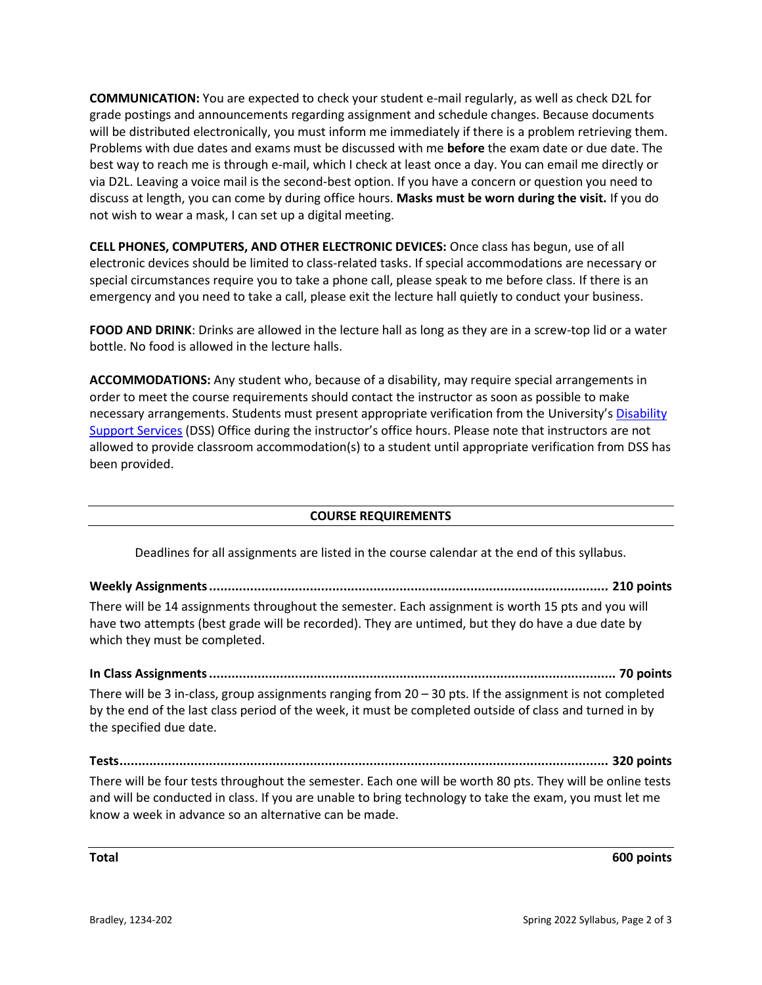**COMMUNICATION:** You are expected to check your student e-mail regularly, as well as check D2L for grade postings and announcements regarding assignment and schedule changes. Because documents will be distributed electronically, you must inform me immediately if there is a problem retrieving them. Problems with due dates and exams must be discussed with me **before** the exam date or due date. The best way to reach me is through e-mail, which I check at least once a day. You can email me directly or via D2L. Leaving a voice mail is the second-best option. If you have a concern or question you need to discuss at length, you can come by during office hours. **Masks must be worn during the visit.** If you do not wish to wear a mask, I can set up a digital meeting.

**CELL PHONES, COMPUTERS, AND OTHER ELECTRONIC DEVICES:** Once class has begun, use of all electronic devices should be limited to class-related tasks. If special accommodations are necessary or special circumstances require you to take a phone call, please speak to me before class. If there is an emergency and you need to take a call, please exit the lecture hall quietly to conduct your business.

**FOOD AND DRINK**: Drinks are allowed in the lecture hall as long as they are in a screw-top lid or a water bottle. No food is allowed in the lecture halls.

**ACCOMMODATIONS:** Any student who, because of a disability, may require special arrangements in order to meet the course requirements should contact the instructor as soon as possible to make necessary arrangements. Students must present appropriate verification from the University's [Disability](https://msutexas.edu/student-life/disability/)  [Support Services](https://msutexas.edu/student-life/disability/) (DSS) Office during the instructor's office hours. Please note that instructors are not allowed to provide classroom accommodation(s) to a student until appropriate verification from DSS has been provided.

## **COURSE REQUIREMENTS**

Deadlines for all assignments are listed in the course calendar at the end of this syllabus.

**Weekly Assignments........................................................................................................... 210 points**

There will be 14 assignments throughout the semester. Each assignment is worth 15 pts and you will have two attempts (best grade will be recorded). They are untimed, but they do have a due date by which they must be completed.

**In Class Assignments............................................................................................................. 70 points** There will be 3 in-class, group assignments ranging from 20 – 30 pts. If the assignment is not completed by the end of the last class period of the week, it must be completed outside of class and turned in by the specified due date.

**Tests................................................................................................................................... 320 points**

There will be four tests throughout the semester. Each one will be worth 80 pts. They will be online tests and will be conducted in class. If you are unable to bring technology to take the exam, you must let me know a week in advance so an alternative can be made.

**Total 600 points**